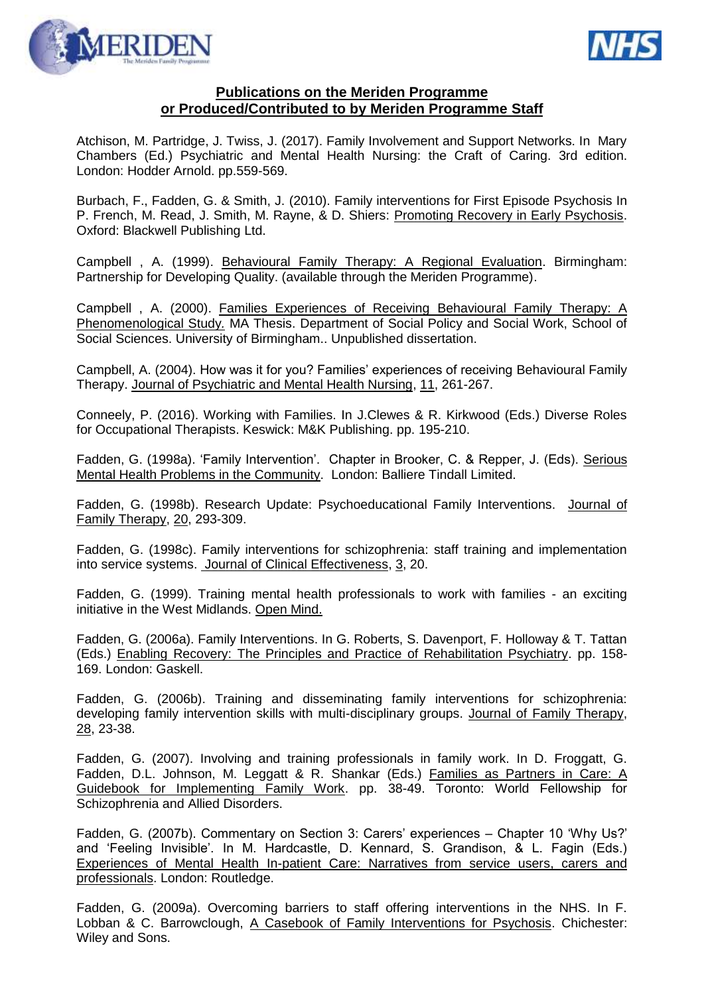



## **Publications on the Meriden Programme or Produced/Contributed to by Meriden Programme Staff**

Atchison, M. Partridge, J. Twiss, J. (2017). Family Involvement and Support Networks. In Mary Chambers (Ed.) Psychiatric and Mental Health Nursing: the Craft of Caring. 3rd edition. London: Hodder Arnold. pp.559-569.

Burbach, F., Fadden, G. & Smith, J. (2010). Family interventions for First Episode Psychosis In P. French, M. Read, J. Smith, M. Rayne, & D. Shiers: Promoting Recovery in Early Psychosis. Oxford: Blackwell Publishing Ltd.

Campbell , A. (1999). Behavioural Family Therapy: A Regional Evaluation. Birmingham: Partnership for Developing Quality. (available through the Meriden Programme).

Campbell , A. (2000). Families Experiences of Receiving Behavioural Family Therapy: A Phenomenological Study*.* MA Thesis. Department of Social Policy and Social Work, School of Social Sciences. University of Birmingham.. Unpublished dissertation.

Campbell, A. (2004). How was it for you? Families' experiences of receiving Behavioural Family Therapy. Journal of Psychiatric and Mental Health Nursing, 11, 261-267.

Conneely, P. (2016). Working with Families. In J.Clewes & R. Kirkwood (Eds.) Diverse Roles for Occupational Therapists. Keswick: M&K Publishing. pp. 195-210.

Fadden, G. (1998a). 'Family Intervention'. Chapter in Brooker, C. & Repper, J. (Eds). Serious Mental Health Problems in the Community. London: Balliere Tindall Limited.

Fadden, G. (1998b). Research Update: Psychoeducational Family Interventions. Journal of Family Therapy, 20, 293-309.

Fadden, G. (1998c). Family interventions for schizophrenia: staff training and implementation into service systems. Journal of Clinical Effectiveness, 3, 20.

Fadden, G. (1999). Training mental health professionals to work with families - an exciting initiative in the West Midlands. Open Mind.

Fadden, G. (2006a). Family Interventions. In G. Roberts, S. Davenport, F. Holloway & T. Tattan (Eds.) Enabling Recovery: The Principles and Practice of Rehabilitation Psychiatry. pp. 158- 169. London: Gaskell.

Fadden, G. (2006b). Training and disseminating family interventions for schizophrenia: developing family intervention skills with multi-disciplinary groups. Journal of Family Therapy, 28, 23-38.

Fadden, G. (2007). Involving and training professionals in family work. In D. Froggatt, G. Fadden, D.L. Johnson, M. Leggatt & R. Shankar (Eds.) Families as Partners in Care: A Guidebook for Implementing Family Work. pp. 38-49. Toronto: World Fellowship for Schizophrenia and Allied Disorders.

Fadden, G. (2007b). Commentary on Section 3: Carers' experiences – Chapter 10 'Why Us?' and 'Feeling Invisible'. In M. Hardcastle, D. Kennard, S. Grandison, & L. Fagin (Eds.) Experiences of Mental Health In-patient Care: Narratives from service users, carers and professionals. London: Routledge.

Fadden, G. (2009a). Overcoming barriers to staff offering interventions in the NHS. In F. Lobban & C. Barrowclough, A Casebook of Family Interventions for Psychosis. Chichester: Wiley and Sons.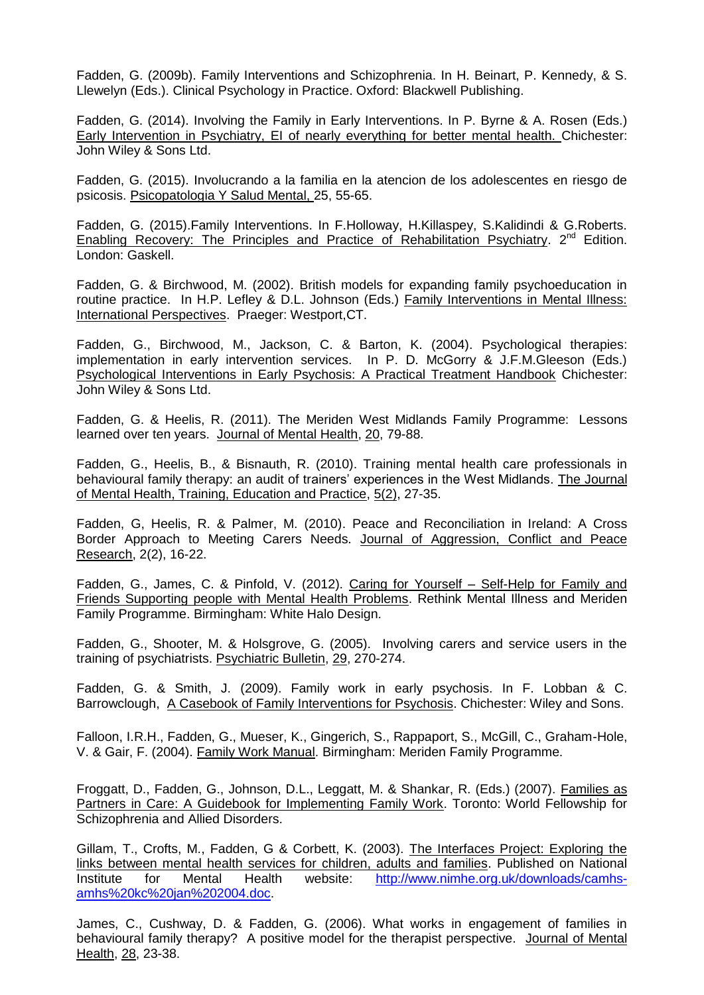Fadden, G. (2009b). Family Interventions and Schizophrenia. In H. Beinart, P. Kennedy, & S. Llewelyn (Eds.). Clinical Psychology in Practice. Oxford: Blackwell Publishing.

Fadden, G. (2014). Involving the Family in Early Interventions. In P. Byrne & A. Rosen (Eds.) Early Intervention in Psychiatry, EI of nearly everything for better mental health. Chichester: John Wiley & Sons Ltd.

Fadden, G. (2015). Involucrando a la familia en la atencion de los adolescentes en riesgo de psicosis. Psicopatologia Y Salud Mental, 25, 55-65.

Fadden, G. (2015).Family Interventions. In F.Holloway, H.Killaspey, S.Kalidindi & G.Roberts. Enabling Recovery: The Principles and Practice of Rehabilitation Psychiatry. 2<sup>nd</sup> Edition. London: Gaskell.

Fadden, G. & Birchwood, M. (2002). British models for expanding family psychoeducation in routine practice. In H.P. Lefley & D.L. Johnson (Eds.) Family Interventions in Mental Illness: International Perspectives. Praeger: Westport,CT.

Fadden, G., Birchwood, M., Jackson, C. & Barton, K. (2004). Psychological therapies: implementation in early intervention services. In P. D. McGorry & J.F.M.Gleeson (Eds.) Psychological Interventions in Early Psychosis: A Practical Treatment Handbook Chichester: John Wiley & Sons Ltd.

Fadden, G. & Heelis, R. (2011). The Meriden West Midlands Family Programme: Lessons learned over ten years. Journal of Mental Health, 20, 79-88.

Fadden, G., Heelis, B., & Bisnauth, R. (2010). Training mental health care professionals in behavioural family therapy: an audit of trainers' experiences in the West Midlands. The Journal of Mental Health, Training, Education and Practice, 5(2), 27-35.

Fadden, G, Heelis, R. & Palmer, M. (2010). Peace and Reconciliation in Ireland: A Cross Border Approach to Meeting Carers Needs. Journal of Aggression, Conflict and Peace Research, 2(2), 16-22.

Fadden, G., James, C. & Pinfold, V. (2012). Caring for Yourself – Self-Help for Family and Friends Supporting people with Mental Health Problems. Rethink Mental Illness and Meriden Family Programme. Birmingham: White Halo Design.

Fadden, G., Shooter, M. & Holsgrove, G. (2005). Involving carers and service users in the training of psychiatrists. Psychiatric Bulletin, 29, 270-274.

Fadden, G. & Smith, J. (2009). Family work in early psychosis. In F. Lobban & C. Barrowclough, A Casebook of Family Interventions for Psychosis. Chichester: Wiley and Sons.

Falloon, I.R.H., Fadden, G., Mueser, K., Gingerich, S., Rappaport, S., McGill, C., Graham-Hole, V. & Gair, F. (2004). Family Work Manual. Birmingham: Meriden Family Programme.

Froggatt, D., Fadden, G., Johnson, D.L., Leggatt, M. & Shankar, R. (Eds.) (2007). Families as Partners in Care: A Guidebook for Implementing Family Work. Toronto: World Fellowship for Schizophrenia and Allied Disorders.

Gillam, T., Crofts, M., Fadden, G & Corbett, K. (2003). The Interfaces Project: Exploring the links between mental health services for children, adults and families. Published on National Institute for Mental Health website: [http://www.nimhe.org.uk/downloads/camhs](http://www.nimhe.org.uk/downloads/camhs-amhs%20kc%20jan%202004.doc)[amhs%20kc%20jan%202004.doc.](http://www.nimhe.org.uk/downloads/camhs-amhs%20kc%20jan%202004.doc)

James, C., Cushway, D. & Fadden, G. (2006). What works in engagement of families in behavioural family therapy? A positive model for the therapist perspective. Journal of Mental Health, 28, 23-38.